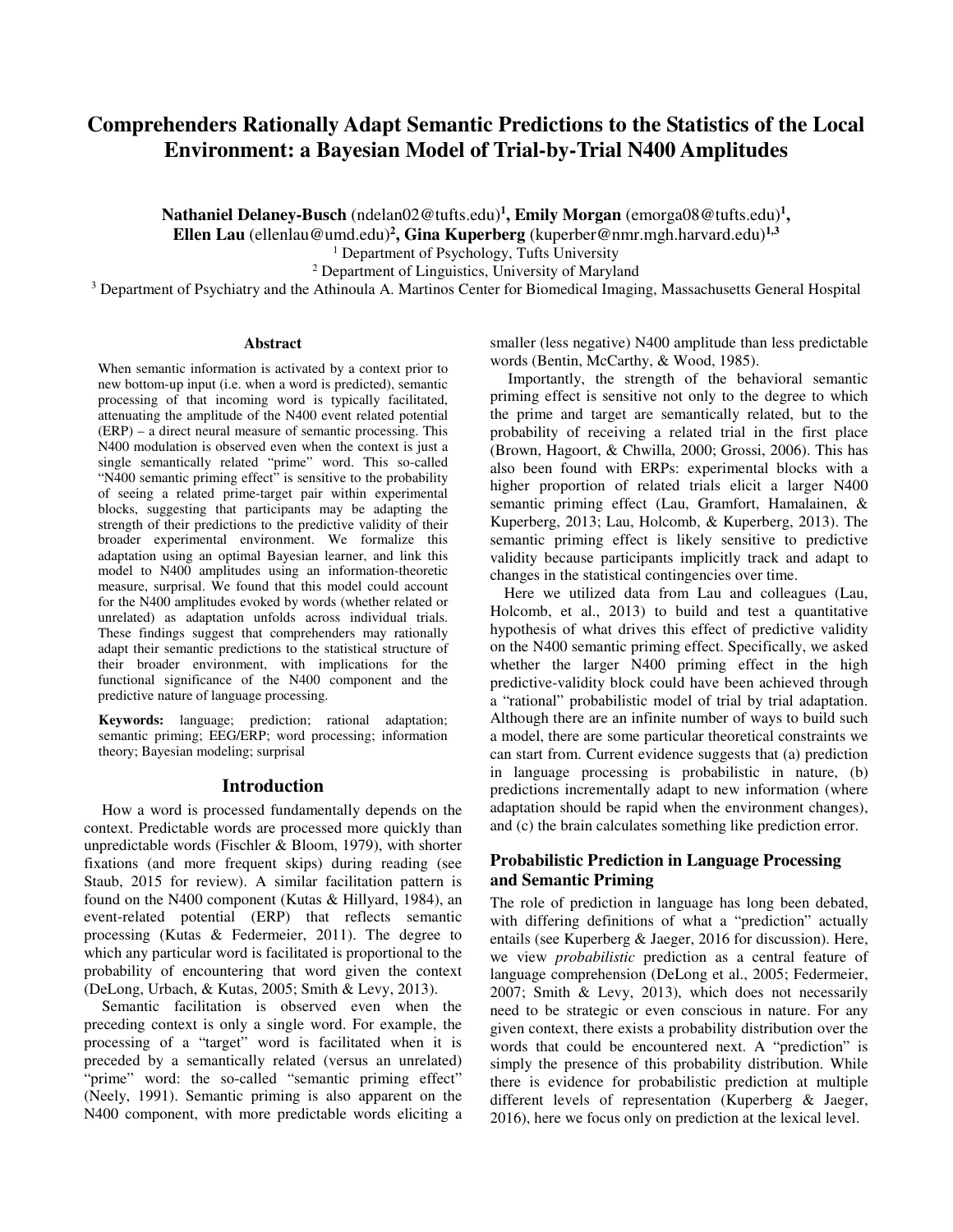# **Comprehenders Rationally Adapt Semantic Predictions to the Statistics of the Local Environment: a Bayesian Model of Trial-by-Trial N400 Amplitudes**

**Nathaniel Delaney-Busch** (ndelan02@tufts.edu)**<sup>1</sup> , Emily Morgan** (emorga08@tufts.edu)**<sup>1</sup> , Ellen Lau** (ellenlau@umd.edu)**<sup>2</sup> , Gina Kuperberg** (kuperber@nmr.mgh.harvard.edu)**1,3**

<sup>1</sup> Department of Psychology, Tufts University

2 Department of Linguistics, University of Maryland

<sup>3</sup> Department of Psychiatry and the Athinoula A. Martinos Center for Biomedical Imaging, Massachusetts General Hospital

#### **Abstract**

When semantic information is activated by a context prior to new bottom-up input (i.e. when a word is predicted), semantic processing of that incoming word is typically facilitated, attenuating the amplitude of the N400 event related potential (ERP) – a direct neural measure of semantic processing. This N400 modulation is observed even when the context is just a single semantically related "prime" word. This so-called "N400 semantic priming effect" is sensitive to the probability of seeing a related prime-target pair within experimental blocks, suggesting that participants may be adapting the strength of their predictions to the predictive validity of their broader experimental environment. We formalize this adaptation using an optimal Bayesian learner, and link this model to N400 amplitudes using an information-theoretic measure, surprisal. We found that this model could account for the N400 amplitudes evoked by words (whether related or unrelated) as adaptation unfolds across individual trials. These findings suggest that comprehenders may rationally adapt their semantic predictions to the statistical structure of their broader environment, with implications for the functional significance of the N400 component and the predictive nature of language processing.

**Keywords:** language; prediction; rational adaptation; semantic priming; EEG/ERP; word processing; information theory; Bayesian modeling; surprisal

### **Introduction**

How a word is processed fundamentally depends on the context. Predictable words are processed more quickly than unpredictable words (Fischler & Bloom, 1979), with shorter fixations (and more frequent skips) during reading (see Staub, 2015 for review). A similar facilitation pattern is found on the N400 component (Kutas & Hillyard, 1984), an event-related potential (ERP) that reflects semantic processing (Kutas & Federmeier, 2011). The degree to which any particular word is facilitated is proportional to the probability of encountering that word given the context (DeLong, Urbach, & Kutas, 2005; Smith & Levy, 2013).

Semantic facilitation is observed even when the preceding context is only a single word. For example, the processing of a "target" word is facilitated when it is preceded by a semantically related (versus an unrelated) "prime" word: the so-called "semantic priming effect" (Neely, 1991). Semantic priming is also apparent on the N400 component, with more predictable words eliciting a smaller (less negative) N400 amplitude than less predictable words (Bentin, McCarthy, & Wood, 1985).

Importantly, the strength of the behavioral semantic priming effect is sensitive not only to the degree to which the prime and target are semantically related, but to the probability of receiving a related trial in the first place (Brown, Hagoort, & Chwilla, 2000; Grossi, 2006). This has also been found with ERPs: experimental blocks with a higher proportion of related trials elicit a larger N400 semantic priming effect (Lau, Gramfort, Hamalainen, & Kuperberg, 2013; Lau, Holcomb, & Kuperberg, 2013). The semantic priming effect is likely sensitive to predictive validity because participants implicitly track and adapt to changes in the statistical contingencies over time.

Here we utilized data from Lau and colleagues (Lau, Holcomb, et al., 2013) to build and test a quantitative hypothesis of what drives this effect of predictive validity on the N400 semantic priming effect. Specifically, we asked whether the larger N400 priming effect in the high predictive-validity block could have been achieved through a "rational" probabilistic model of trial by trial adaptation. Although there are an infinite number of ways to build such a model, there are some particular theoretical constraints we can start from. Current evidence suggests that (a) prediction in language processing is probabilistic in nature, (b) predictions incrementally adapt to new information (where adaptation should be rapid when the environment changes), and (c) the brain calculates something like prediction error.

# **Probabilistic Prediction in Language Processing and Semantic Priming**

The role of prediction in language has long been debated, with differing definitions of what a "prediction" actually entails (see Kuperberg & Jaeger, 2016 for discussion). Here, we view *probabilistic* prediction as a central feature of language comprehension (DeLong et al., 2005; Federmeier, 2007; Smith & Levy, 2013), which does not necessarily need to be strategic or even conscious in nature. For any given context, there exists a probability distribution over the words that could be encountered next. A "prediction" is simply the presence of this probability distribution. While there is evidence for probabilistic prediction at multiple different levels of representation (Kuperberg & Jaeger, 2016), here we focus only on prediction at the lexical level.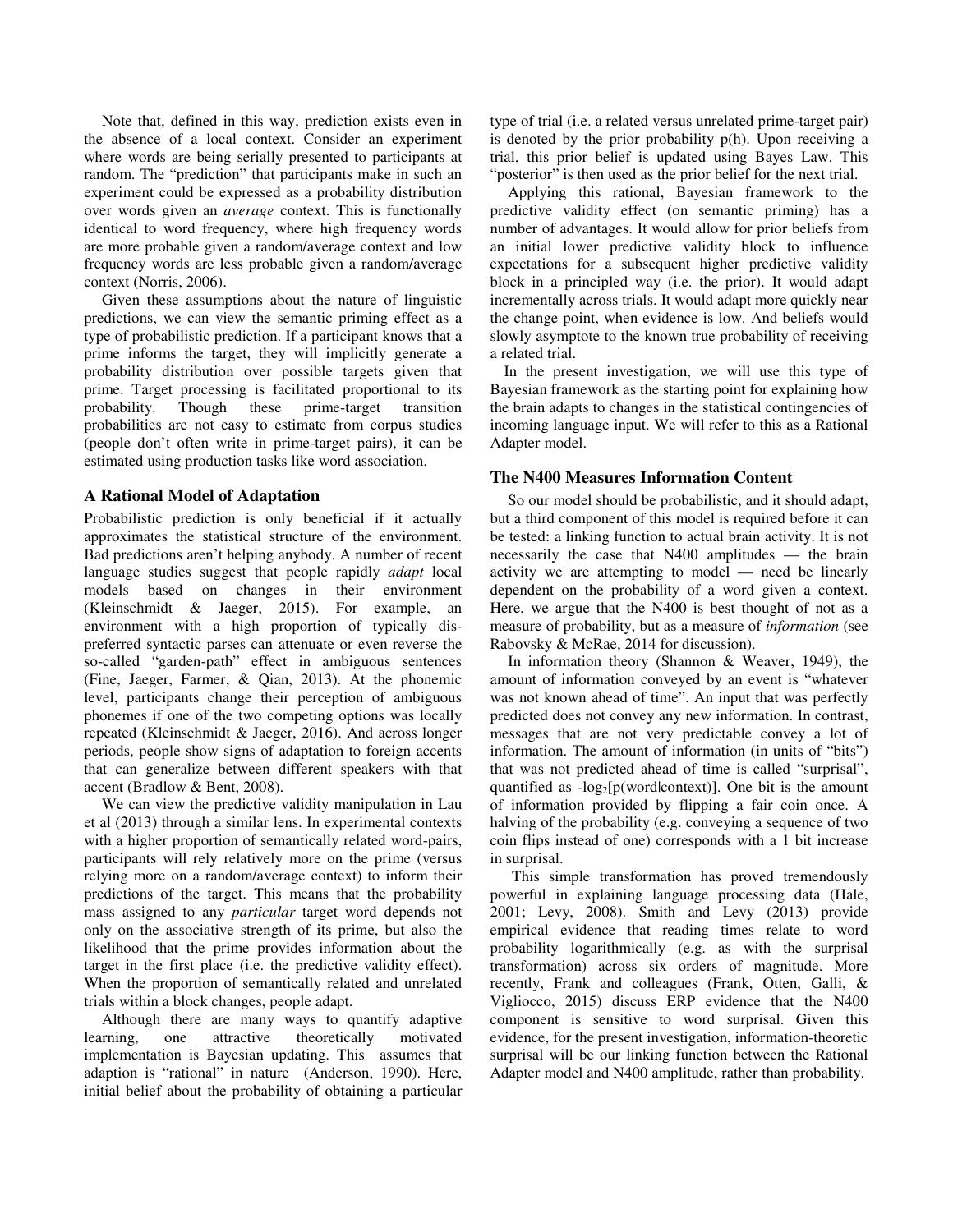Note that, defined in this way, prediction exists even in the absence of a local context. Consider an experiment where words are being serially presented to participants at random. The "prediction" that participants make in such an experiment could be expressed as a probability distribution over words given an *average* context. This is functionally identical to word frequency, where high frequency words are more probable given a random/average context and low frequency words are less probable given a random/average context (Norris, 2006).

Given these assumptions about the nature of linguistic predictions, we can view the semantic priming effect as a type of probabilistic prediction. If a participant knows that a prime informs the target, they will implicitly generate a probability distribution over possible targets given that prime. Target processing is facilitated proportional to its probability. Though these prime-target transition probabilities are not easy to estimate from corpus studies (people don't often write in prime-target pairs), it can be estimated using production tasks like word association.

### **A Rational Model of Adaptation**

Probabilistic prediction is only beneficial if it actually approximates the statistical structure of the environment. Bad predictions aren't helping anybody. A number of recent language studies suggest that people rapidly *adapt* local models based on changes in their environment (Kleinschmidt & Jaeger, 2015). For example, an environment with a high proportion of typically dispreferred syntactic parses can attenuate or even reverse the so-called "garden-path" effect in ambiguous sentences (Fine, Jaeger, Farmer, & Qian, 2013). At the phonemic level, participants change their perception of ambiguous phonemes if one of the two competing options was locally repeated (Kleinschmidt & Jaeger, 2016). And across longer periods, people show signs of adaptation to foreign accents that can generalize between different speakers with that accent (Bradlow & Bent, 2008).

We can view the predictive validity manipulation in Lau et al (2013) through a similar lens. In experimental contexts with a higher proportion of semantically related word-pairs, participants will rely relatively more on the prime (versus relying more on a random/average context) to inform their predictions of the target. This means that the probability mass assigned to any *particular* target word depends not only on the associative strength of its prime, but also the likelihood that the prime provides information about the target in the first place (i.e. the predictive validity effect). When the proportion of semantically related and unrelated trials within a block changes, people adapt.

Although there are many ways to quantify adaptive<br>traing, one attractive theoretically motivated learning, one attractive theoretically motivated implementation is Bayesian updating. This assumes that adaption is "rational" in nature (Anderson, 1990). Here, initial belief about the probability of obtaining a particular type of trial (i.e. a related versus unrelated prime-target pair) is denoted by the prior probability p(h). Upon receiving a trial, this prior belief is updated using Bayes Law. This "posterior" is then used as the prior belief for the next trial.

Applying this rational, Bayesian framework to the predictive validity effect (on semantic priming) has a number of advantages. It would allow for prior beliefs from an initial lower predictive validity block to influence expectations for a subsequent higher predictive validity block in a principled way (i.e. the prior). It would adapt incrementally across trials. It would adapt more quickly near the change point, when evidence is low. And beliefs would slowly asymptote to the known true probability of receiving a related trial.

In the present investigation, we will use this type of Bayesian framework as the starting point for explaining how the brain adapts to changes in the statistical contingencies of incoming language input. We will refer to this as a Rational Adapter model.

### **The N400 Measures Information Content**

So our model should be probabilistic, and it should adapt, but a third component of this model is required before it can be tested: a linking function to actual brain activity. It is not necessarily the case that N400 amplitudes — the brain activity we are attempting to model — need be linearly dependent on the probability of a word given a context. Here, we argue that the N400 is best thought of not as a measure of probability, but as a measure of *information* (see Rabovsky & McRae, 2014 for discussion).

In information theory (Shannon & Weaver, 1949), the amount of information conveyed by an event is "whatever was not known ahead of time". An input that was perfectly predicted does not convey any new information. In contrast, messages that are not very predictable convey a lot of information. The amount of information (in units of "bits") that was not predicted ahead of time is called "surprisal", quantified as  $-log_2[p(wordlcontext)]$ . One bit is the amount of information provided by flipping a fair coin once. A halving of the probability (e.g. conveying a sequence of two coin flips instead of one) corresponds with a 1 bit increase in surprisal.

 This simple transformation has proved tremendously powerful in explaining language processing data (Hale, 2001; Levy, 2008). Smith and Levy (2013) provide empirical evidence that reading times relate to word probability logarithmically (e.g. as with the surprisal transformation) across six orders of magnitude. More recently, Frank and colleagues (Frank, Otten, Galli, & Vigliocco, 2015) discuss ERP evidence that the N400 component is sensitive to word surprisal. Given this evidence, for the present investigation, information-theoretic surprisal will be our linking function between the Rational Adapter model and N400 amplitude, rather than probability.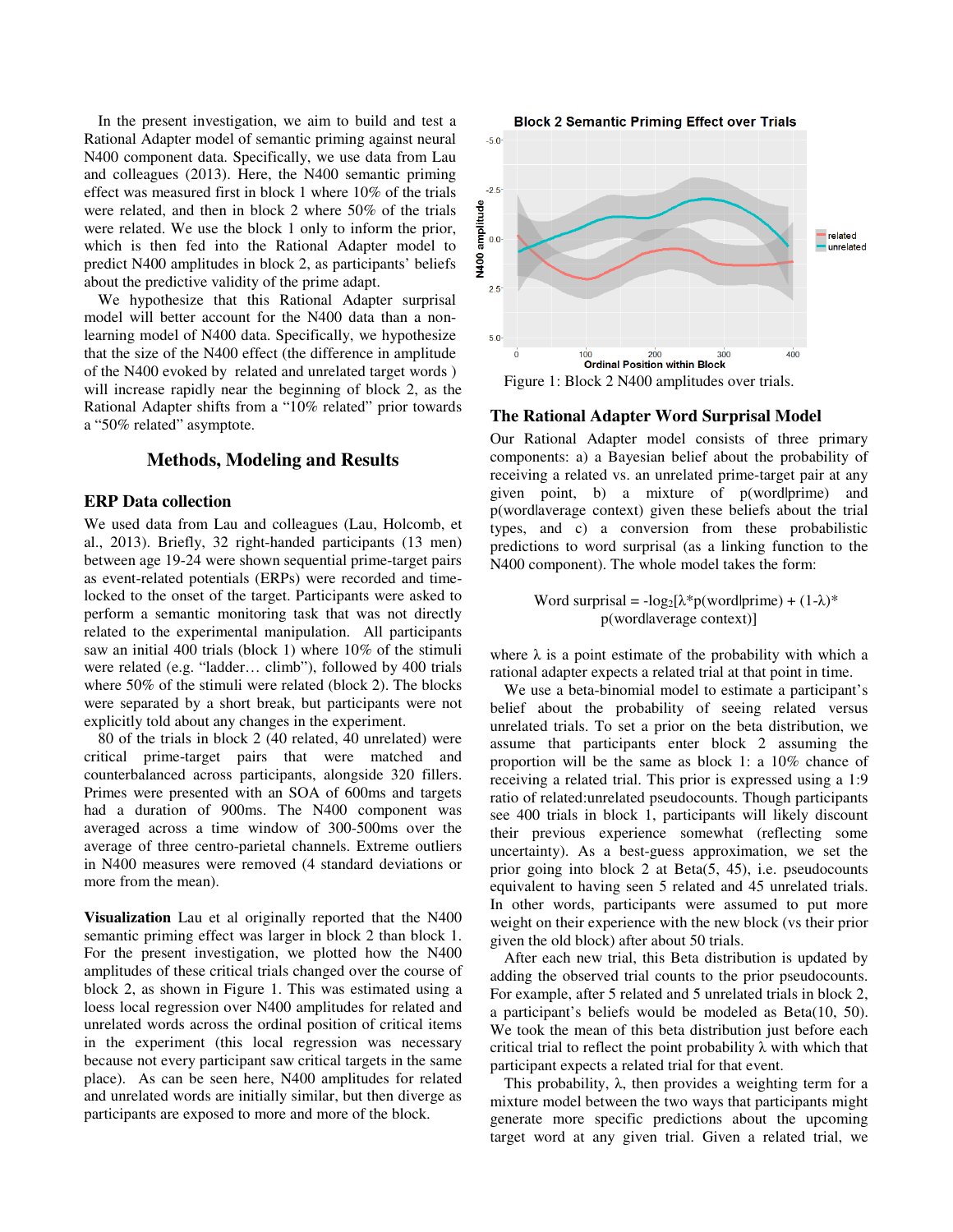In the present investigation, we aim to build and test a Rational Adapter model of semantic priming against neural N400 component data. Specifically, we use data from Lau and colleagues (2013). Here, the N400 semantic priming effect was measured first in block 1 where 10% of the trials were related, and then in block 2 where 50% of the trials were related. We use the block 1 only to inform the prior, which is then fed into the Rational Adapter model to predict N400 amplitudes in block 2, as participants' beliefs about the predictive validity of the prime adapt.

We hypothesize that this Rational Adapter surprisal model will better account for the N400 data than a nonlearning model of N400 data. Specifically, we hypothesize that the size of the N400 effect (the difference in amplitude of the N400 evoked by related and unrelated target words ) will increase rapidly near the beginning of block 2, as the Rational Adapter shifts from a "10% related" prior towards a "50% related" asymptote.

# **Methods, Modeling and Results**

# **ERP Data collection**

We used data from Lau and colleagues (Lau, Holcomb, et al., 2013). Briefly, 32 right-handed participants (13 men) between age 19-24 were shown sequential prime-target pairs as event-related potentials (ERPs) were recorded and timelocked to the onset of the target. Participants were asked to perform a semantic monitoring task that was not directly related to the experimental manipulation. All participants saw an initial 400 trials (block 1) where 10% of the stimuli were related (e.g. "ladder… climb"), followed by 400 trials where 50% of the stimuli were related (block 2). The blocks were separated by a short break, but participants were not explicitly told about any changes in the experiment.

80 of the trials in block 2 (40 related, 40 unrelated) were critical prime-target pairs that were matched and counterbalanced across participants, alongside 320 fillers. Primes were presented with an SOA of 600ms and targets had a duration of 900ms. The N400 component was averaged across a time window of 300-500ms over the average of three centro-parietal channels. Extreme outliers in N400 measures were removed (4 standard deviations or more from the mean).

**Visualization** Lau et al originally reported that the N400 semantic priming effect was larger in block 2 than block 1. For the present investigation, we plotted how the N400 amplitudes of these critical trials changed over the course of block 2, as shown in Figure 1. This was estimated using a loess local regression over N400 amplitudes for related and unrelated words across the ordinal position of critical items in the experiment (this local regression was necessary because not every participant saw critical targets in the same place). As can be seen here, N400 amplitudes for related and unrelated words are initially similar, but then diverge as participants are exposed to more and more of the block.



#### **The Rational Adapter Word Surprisal Model**

Our Rational Adapter model consists of three primary components: a) a Bayesian belief about the probability of receiving a related vs. an unrelated prime-target pair at any given point, b) a mixture of p(word|prime) and p(word|average context) given these beliefs about the trial types, and c) a conversion from these probabilistic predictions to word surprisal (as a linking function to the N400 component). The whole model takes the form:

> Word surprisal =  $-log_2[\lambda*p(word|prime) + (1-\lambda)*$ p(word|average context)]

where  $\lambda$  is a point estimate of the probability with which a rational adapter expects a related trial at that point in time.

We use a beta-binomial model to estimate a participant's belief about the probability of seeing related versus unrelated trials. To set a prior on the beta distribution, we assume that participants enter block 2 assuming the proportion will be the same as block 1: a 10% chance of receiving a related trial. This prior is expressed using a 1:9 ratio of related:unrelated pseudocounts. Though participants see 400 trials in block 1, participants will likely discount their previous experience somewhat (reflecting some uncertainty). As a best-guess approximation, we set the prior going into block 2 at Beta(5, 45), i.e. pseudocounts equivalent to having seen 5 related and 45 unrelated trials. In other words, participants were assumed to put more weight on their experience with the new block (vs their prior given the old block) after about 50 trials.

After each new trial, this Beta distribution is updated by adding the observed trial counts to the prior pseudocounts. For example, after 5 related and 5 unrelated trials in block 2, a participant's beliefs would be modeled as Beta(10, 50). We took the mean of this beta distribution just before each critical trial to reflect the point probability  $\lambda$  with which that participant expects a related trial for that event.

This probability,  $λ$ , then provides a weighting term for a mixture model between the two ways that participants might generate more specific predictions about the upcoming target word at any given trial. Given a related trial, we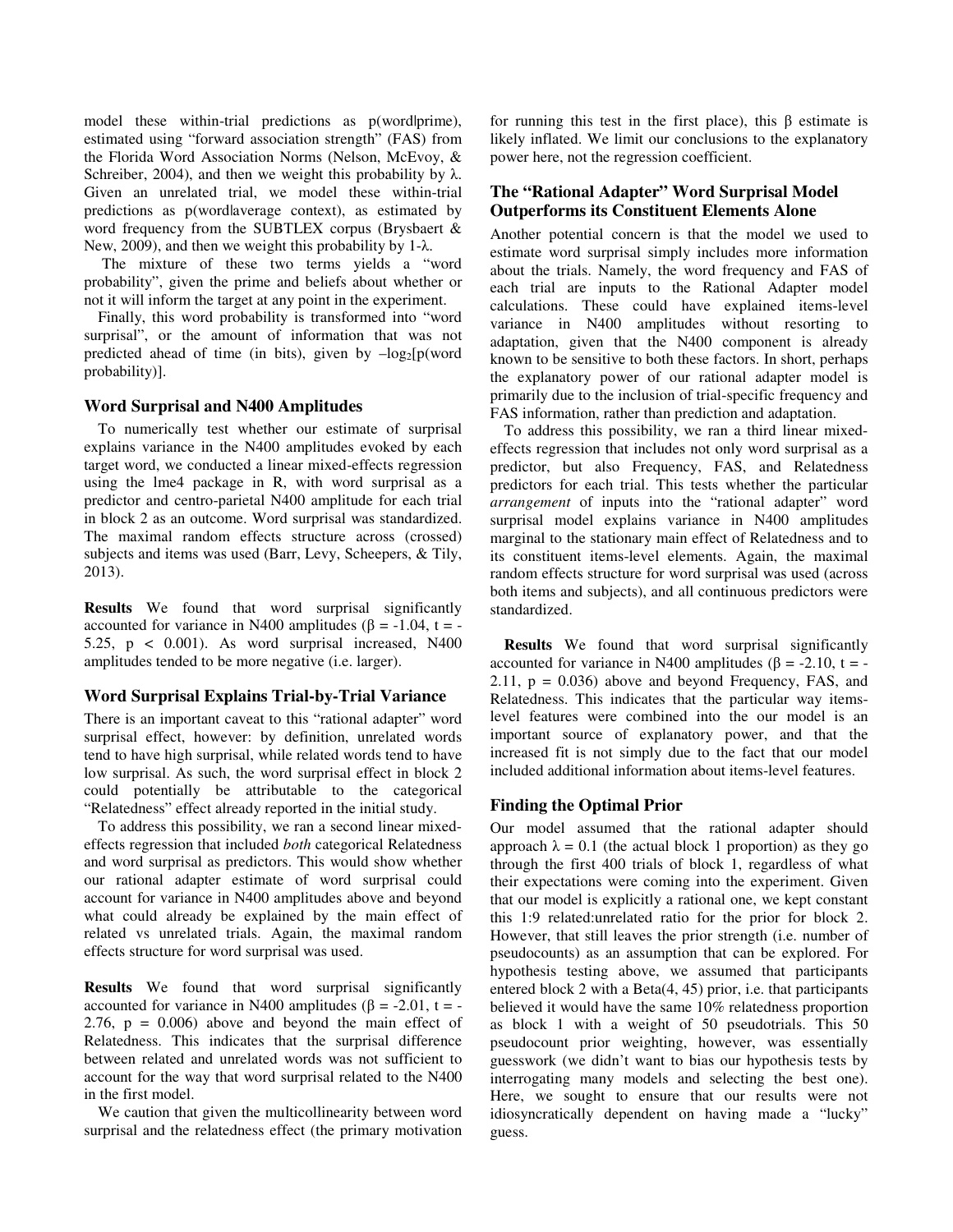model these within-trial predictions as p(wordlprime), estimated using "forward association strength" (FAS) from the Florida Word Association Norms (Nelson, McEvoy, & Schreiber, 2004), and then we weight this probability by  $\lambda$ . Given an unrelated trial, we model these within-trial predictions as p(wordlaverage context), as estimated by word frequency from the SUBTLEX corpus (Brysbaert & New, 2009), and then we weight this probability by 1-λ.

 The mixture of these two terms yields a "word probability", given the prime and beliefs about whether or not it will inform the target at any point in the experiment.

Finally, this word probability is transformed into "word surprisal", or the amount of information that was not predicted ahead of time (in bits), given by  $-\log_2[p(\text{word}$ probability)].

### **Word Surprisal and N400 Amplitudes**

To numerically test whether our estimate of surprisal explains variance in the N400 amplitudes evoked by each target word, we conducted a linear mixed-effects regression using the lme4 package in R, with word surprisal as a predictor and centro-parietal N400 amplitude for each trial in block 2 as an outcome. Word surprisal was standardized. The maximal random effects structure across (crossed) subjects and items was used (Barr, Levy, Scheepers, & Tily, 2013).

**Results** We found that word surprisal significantly accounted for variance in N400 amplitudes ( $\beta$  = -1.04, t = -5.25,  $p \leq 0.001$ ). As word surprisal increased, N400 amplitudes tended to be more negative (i.e. larger).

# **Word Surprisal Explains Trial-by-Trial Variance**

There is an important caveat to this "rational adapter" word surprisal effect, however: by definition, unrelated words tend to have high surprisal, while related words tend to have low surprisal. As such, the word surprisal effect in block 2 could potentially be attributable to the categorical "Relatedness" effect already reported in the initial study.

To address this possibility, we ran a second linear mixedeffects regression that included *both* categorical Relatedness and word surprisal as predictors. This would show whether our rational adapter estimate of word surprisal could account for variance in N400 amplitudes above and beyond what could already be explained by the main effect of related vs unrelated trials. Again, the maximal random effects structure for word surprisal was used.

**Results** We found that word surprisal significantly accounted for variance in N400 amplitudes ( $\beta$  = -2.01, t = -2.76,  $p = 0.006$  above and beyond the main effect of Relatedness. This indicates that the surprisal difference between related and unrelated words was not sufficient to account for the way that word surprisal related to the N400 in the first model.

We caution that given the multicollinearity between word surprisal and the relatedness effect (the primary motivation for running this test in the first place), this β estimate is likely inflated. We limit our conclusions to the explanatory power here, not the regression coefficient.

# **The "Rational Adapter" Word Surprisal Model Outperforms its Constituent Elements Alone**

Another potential concern is that the model we used to estimate word surprisal simply includes more information about the trials. Namely, the word frequency and FAS of each trial are inputs to the Rational Adapter model calculations. These could have explained items-level variance in N400 amplitudes without resorting to adaptation, given that the N400 component is already known to be sensitive to both these factors. In short, perhaps the explanatory power of our rational adapter model is primarily due to the inclusion of trial-specific frequency and FAS information, rather than prediction and adaptation.

To address this possibility, we ran a third linear mixedeffects regression that includes not only word surprisal as a predictor, but also Frequency, FAS, and Relatedness predictors for each trial. This tests whether the particular *arrangement* of inputs into the "rational adapter" word surprisal model explains variance in N400 amplitudes marginal to the stationary main effect of Relatedness and to its constituent items-level elements. Again, the maximal random effects structure for word surprisal was used (across both items and subjects), and all continuous predictors were standardized.

**Results** We found that word surprisal significantly accounted for variance in N400 amplitudes ( $\beta$  = -2.10, t = -2.11,  $p = 0.036$ ) above and beyond Frequency, FAS, and Relatedness. This indicates that the particular way itemslevel features were combined into the our model is an important source of explanatory power, and that the increased fit is not simply due to the fact that our model included additional information about items-level features.

# **Finding the Optimal Prior**

Our model assumed that the rational adapter should approach  $\lambda = 0.1$  (the actual block 1 proportion) as they go through the first 400 trials of block 1, regardless of what their expectations were coming into the experiment. Given that our model is explicitly a rational one, we kept constant this 1:9 related:unrelated ratio for the prior for block 2. However, that still leaves the prior strength (i.e. number of pseudocounts) as an assumption that can be explored. For hypothesis testing above, we assumed that participants entered block 2 with a Beta(4, 45) prior, i.e. that participants believed it would have the same 10% relatedness proportion as block 1 with a weight of 50 pseudotrials. This 50 pseudocount prior weighting, however, was essentially guesswork (we didn't want to bias our hypothesis tests by interrogating many models and selecting the best one). Here, we sought to ensure that our results were not idiosyncratically dependent on having made a "lucky" guess.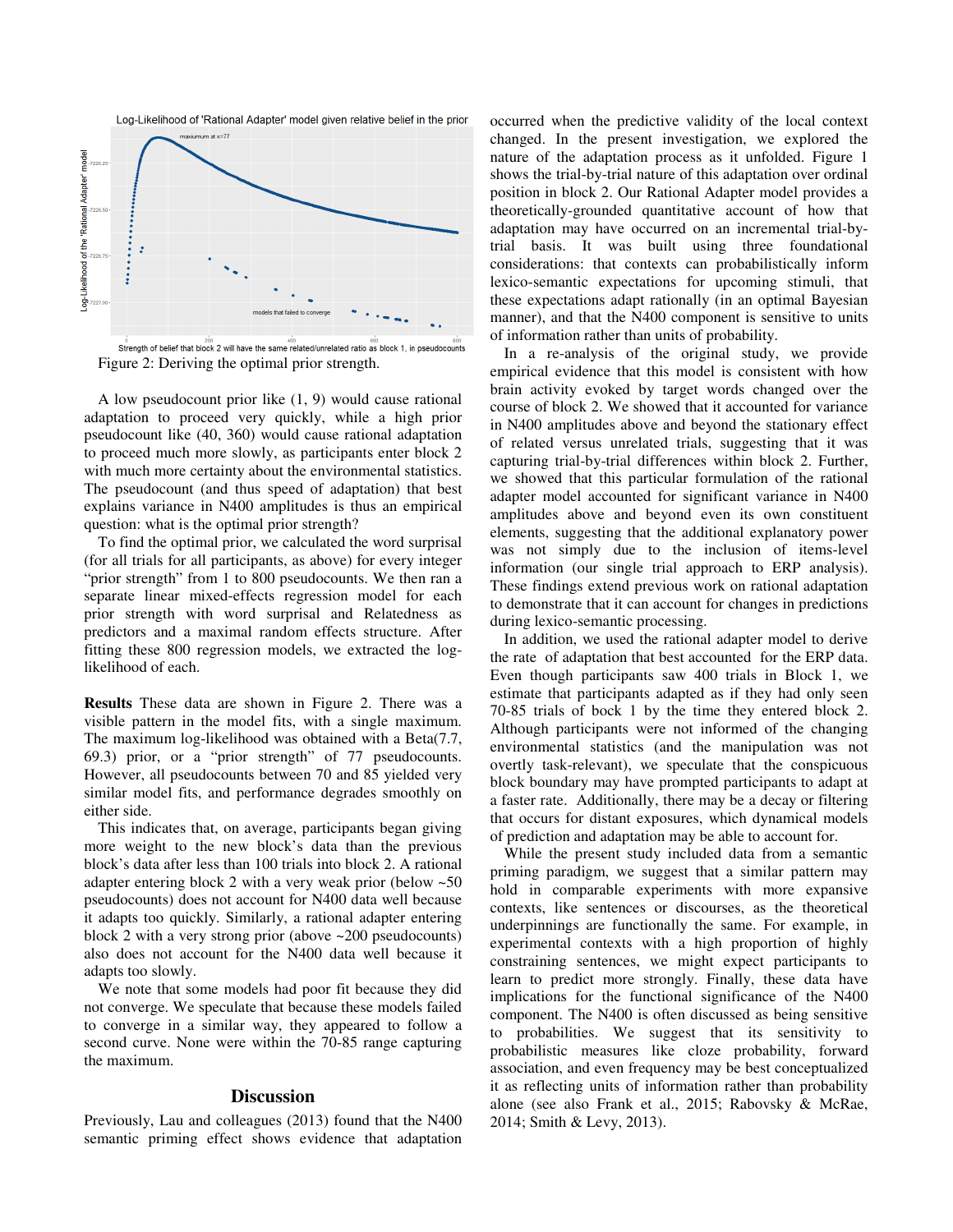



Strength of belief that block 2 will have the same related/unrelated ratio as block 1, in pseudocounts Figure 2: Deriving the optimal prior strength.

A low pseudocount prior like (1, 9) would cause rational adaptation to proceed very quickly, while a high prior pseudocount like (40, 360) would cause rational adaptation to proceed much more slowly, as participants enter block 2 with much more certainty about the environmental statistics. The pseudocount (and thus speed of adaptation) that best explains variance in N400 amplitudes is thus an empirical question: what is the optimal prior strength?

To find the optimal prior, we calculated the word surprisal (for all trials for all participants, as above) for every integer "prior strength" from 1 to 800 pseudocounts. We then ran a separate linear mixed-effects regression model for each prior strength with word surprisal and Relatedness as predictors and a maximal random effects structure. After fitting these 800 regression models, we extracted the loglikelihood of each.

**Results** These data are shown in Figure 2. There was a visible pattern in the model fits, with a single maximum. The maximum log-likelihood was obtained with a Beta(7.7, 69.3) prior, or a "prior strength" of 77 pseudocounts. However, all pseudocounts between 70 and 85 yielded very similar model fits, and performance degrades smoothly on either side.

This indicates that, on average, participants began giving more weight to the new block's data than the previous block's data after less than 100 trials into block 2. A rational adapter entering block 2 with a very weak prior (below ~50 pseudocounts) does not account for N400 data well because it adapts too quickly. Similarly, a rational adapter entering block 2 with a very strong prior (above ~200 pseudocounts) also does not account for the N400 data well because it adapts too slowly.

We note that some models had poor fit because they did not converge. We speculate that because these models failed to converge in a similar way, they appeared to follow a second curve. None were within the 70-85 range capturing the maximum.

#### **Discussion**

Previously, Lau and colleagues (2013) found that the N400 semantic priming effect shows evidence that adaptation occurred when the predictive validity of the local context changed. In the present investigation, we explored the nature of the adaptation process as it unfolded. Figure 1 shows the trial-by-trial nature of this adaptation over ordinal position in block 2. Our Rational Adapter model provides a theoretically-grounded quantitative account of how that adaptation may have occurred on an incremental trial-bytrial basis. It was built using three foundational considerations: that contexts can probabilistically inform lexico-semantic expectations for upcoming stimuli, that these expectations adapt rationally (in an optimal Bayesian manner), and that the N400 component is sensitive to units of information rather than units of probability.

In a re-analysis of the original study, we provide empirical evidence that this model is consistent with how brain activity evoked by target words changed over the course of block 2. We showed that it accounted for variance in N400 amplitudes above and beyond the stationary effect of related versus unrelated trials, suggesting that it was capturing trial-by-trial differences within block 2. Further, we showed that this particular formulation of the rational adapter model accounted for significant variance in N400 amplitudes above and beyond even its own constituent elements, suggesting that the additional explanatory power was not simply due to the inclusion of items-level information (our single trial approach to ERP analysis). These findings extend previous work on rational adaptation to demonstrate that it can account for changes in predictions during lexico-semantic processing.

In addition, we used the rational adapter model to derive the rate of adaptation that best accounted for the ERP data. Even though participants saw 400 trials in Block 1, we estimate that participants adapted as if they had only seen 70-85 trials of bock 1 by the time they entered block 2. Although participants were not informed of the changing environmental statistics (and the manipulation was not overtly task-relevant), we speculate that the conspicuous block boundary may have prompted participants to adapt at a faster rate. Additionally, there may be a decay or filtering that occurs for distant exposures, which dynamical models of prediction and adaptation may be able to account for.

While the present study included data from a semantic priming paradigm, we suggest that a similar pattern may hold in comparable experiments with more expansive contexts, like sentences or discourses, as the theoretical underpinnings are functionally the same. For example, in experimental contexts with a high proportion of highly constraining sentences, we might expect participants to learn to predict more strongly. Finally, these data have implications for the functional significance of the N400 component. The N400 is often discussed as being sensitive to probabilities. We suggest that its sensitivity to probabilistic measures like cloze probability, forward association, and even frequency may be best conceptualized it as reflecting units of information rather than probability alone (see also Frank et al., 2015; Rabovsky & McRae, 2014; Smith & Levy, 2013).